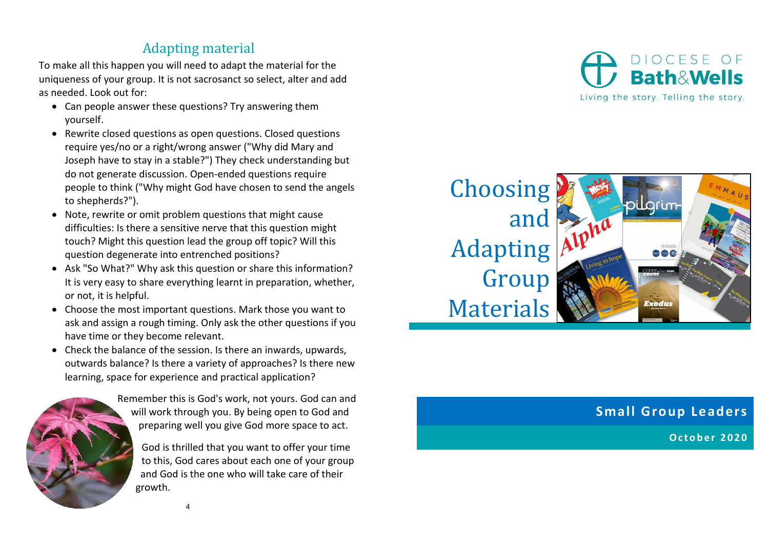## Adapting material

To make all this happen you will need to adapt the material for the uniqueness of your group. It is not sacrosanct so select, alter and add as needed. Look out for:

- Can people answer these questions? Try answering them yourself.
- Rewrite closed questions as open questions. Closed questions require yes/no or a right/wrong answer ("Why did Mary and Joseph have to stay in a stable?") They check understanding but do not generate discussion. Open-ended questions require people to think ("Why might God have chosen to send the angels to shepherds?").
- Note, rewrite or omit problem questions that might cause difficulties: Is there a sensitive nerve that this question might touch? Might this question lead the group off topic? Will this question degenerate into entrenched positions?
- Ask "So What?" Why ask this question or share this information? It is very easy to share everything learnt in preparation, whether, or not, it is helpful.
- Choose the most important questions. Mark those you want to ask and assign a rough timing. Only ask the other questions if you have time or they become relevant.
- Check the balance of the session. Is there an inwards, upwards, outwards balance? Is there a variety of approaches? Is there new learning, space for experience and practical application?



Remember this is God's work, not yours. God can and will work through you. By being open to God and preparing well you give God more space to act.

God is thrilled that you want to offer your time to this, God cares about each one of your group and God is the one who will take care of their growth.



**Choosing** and Adapting Group Materials



## **Small Group Leaders**

**O c t o b e r 2 0 2 0**